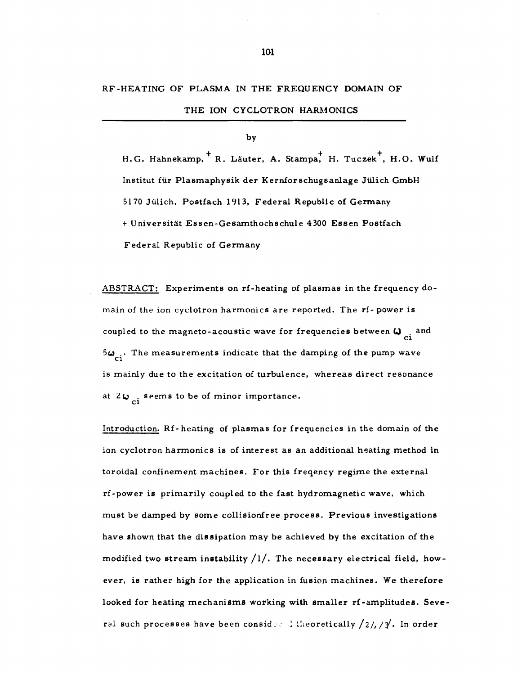## RF-HEATING OF PLASMA IN THE FREQUENCY DOMAIN OF

THE ION CYCLOTRON HARMONICS

## by

H.G. Hahnekamp, R. Läuter, A. Stampa, H. Tuczek, H.O. Wulf Institut fur Plasmaphysik der Kernforschugsanlage Jiilich GmbH 5170 Julich, Postfach 1913, Federal Republic of Germany + Universitat Essen-Gesamthochschule 4300 Essen Postfach Federal Republic of Germany

ABSTRACT: Experiments on rf-heating of plasmas in the frequency domain of the ion cyclotron harmonics are reported. The rf- power is coupled to the magneto-acoustic wave for frequencies between  $\omega_{ci}$  and  $5\omega_{ci}$ . The measurements indicate that the damping of the pump wave is mainly due to the excitation of turbulence, whereas direct resonance at  $2\omega_{ci}$  seems to be of minor importance.

**CI** 

Introduction. Rf-heating of plasmas for frequencies in the domain of the ion cyclotron harmonics is of interest as an additional heating method in toroidal confinement machines. For this freqency regime the external rf-power is primarily coupled to the fast hydromagnetic wave, which must be damped by some collisionfree process. Previous investigations have shown that the dissipation may be achieved by the excitation of the modified two stream instability  $/1/$ . The necessary electrical field, however, is rather high for the application in fusion machines. We therefore looked for heating mechanisms working with smaller rf-amplitudes. Several such processes have been considered theoretically  $\frac{2}{4}$ ,  $\frac{2}{4}$ . In order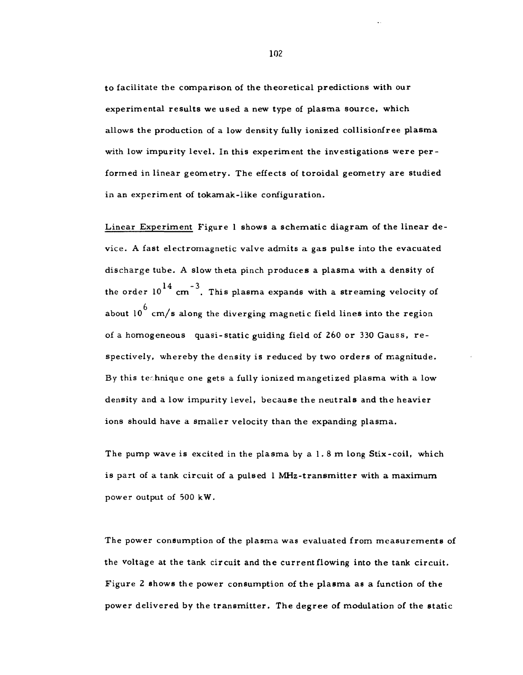to facilitate the comparison of the theoretical predictions with our experimental results we used a new type of plasma source, which allows the production of a low density fully ionized collisionfree plasma with low impurity level. In this experiment the investigations were performed in linear geometry. The effects of toroidal geometry are studied in an experiment of tokamak-iike configuration.

Linear Experiment Figure 1 shows a schematic diagram of the linear device. A fast electromagnetic valve admits a gas pulse into the evacuated discharge tube. A slow theta pinch produces a plasma with a density of the order  $10^{14}$  cm<sup>-3</sup>. This plasma expands with a streaming velocity of  $^6$  cm  $\prime$ about 10 cm/s along the diverging magnetic field lines into the region of a homogeneous quasi-static guiding field of 260 or 330 Gauss, re spectively, whereby the density is reduced by two orders of magnitude. By this technique one gets a fully ionized mangetized plasma with a low density and a low impurity level, because the neutrals and the heavier ions should have a smaller velocity than the expanding plasma.

The pump wave is excited in the plasma by a 1. 8 m long Stix-coil, which is part of a tank circuit of a pulsed 1 MHz-transmitter with a maximum power output of 500 kW.

The power consumption of the plasma was evaluated from measurements of the voltage at the tank circuit and the current flowing into the tank circuit. Figure 2 shows the power consumption of the plasma as a function of the power delivered by the transmitter. The degree of modulation of the static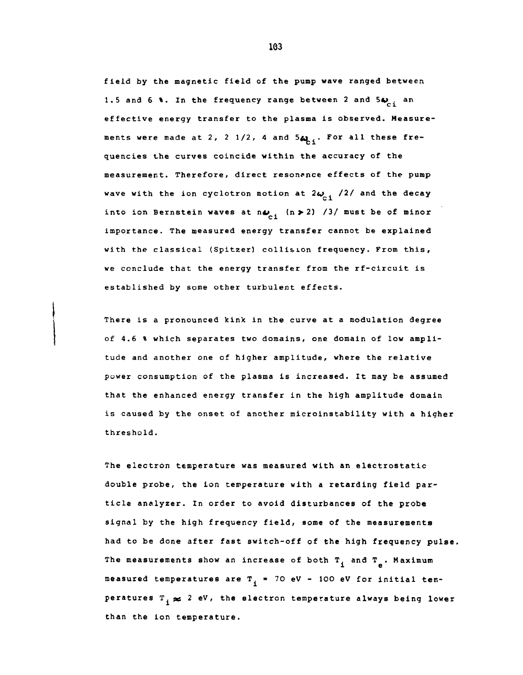**field by the magnetic field of the pump wave ranged between**  1.5 and 6 %. In the frequency range between 2 and 5 $\omega_{ci}$  an **effective energy transfer to the plasma is observed. Measure**ments were made at 2, 2 1/2, 4 and 5 $\mu$ , For all these fre**quencies the curves coincide within the accuracy of the measurement. Therefore, direct resonance effects of the pump wave with the ion cyclotron motion at**  $2\omega_{\rm{c},1}$  **/2/ and the decay** into ion Bernstein waves at  $n\omega_{1}$  (n > 2) /3/ must be of minor importance. The measured energy transfer cannot be explained with the classical (Spitzer) collision frequency. From this, we conclude that the energy transfer from the rf-circuit is

**There is a pronounced kink in the curve at a modulation degree of 4.6 % which separates two domains, one domain of low amplitude and another one of higher amplitude, where the relative power consumption of the plasma is increased. It may be assumed that the enhanced energy transfer in the high amplitude domain is caused by the onset of another microinstability with a higher threshold.** 

**The electron temperature was measured with an electrostatic double probe, the ion temperature with a retarding field particle analyzer. In order to avoid disturbances of the probe signal by the high frequency field, some of the measurements had to be done after fast switch-off of the high frequency pulse**  The measurements show an increase of both T<sub>1</sub> and T<sub>2</sub>. Maximum measured temperatures are  $T_i$  = 70 eV - 100 eV for initial temperatures  $T_i \approx 2$  eV, the electron temperature always being lower **peratures T** *pc* **2 eV, the electron temperature always being lower**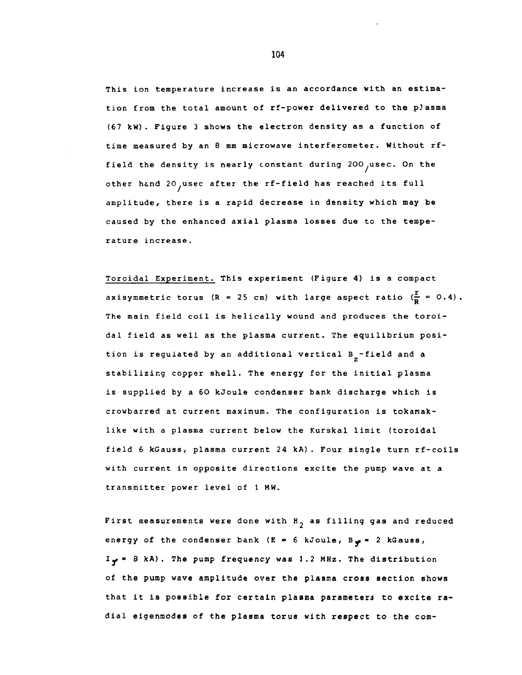This ion temperature increase is an accordance with an estimation from the total amount of rf-power delivered to the pJasma (67 kW) . Figure 3 shows the electron density as a function of time measured by an 8 mm microwave interferometer. Without rffield the density is nearly constant during 200 usec. On the other hand 20, usec after the rf-field has reached its full amplitude, there is a rapid decrease in density which may be caused by the enhanced axial plasma losses due to the temperature increase.

Toroidal Experiment. This experiment (Figure 4) is a compact axisymmetric torus (R = 25 cm) with large aspect ratio ( $\frac{r}{p}$  = 0.4). The main field coil is helically wound and produces the toroidal field as well as the plasma current. The equilibrium position is regulated by an additional vertical B<sub>g</sub>-field and a stabilizing copper shell. The energy for the initial plasma is supplied by a 60 kJoule condenser bank discharge which is crowbarred at current maximum. The configuration is tokamaklike with a plasma current below the Kurskal limit (toroidal field 6 kGauss, plasma current 24 kA). Four single turn rf-coils with current in opposite directions excite the pump wave at a transmitter power level of 1 MW.

First measurements were done with  $H_{\gamma}$  as filling gas and reduced energy of the condenser bank (E = 6 kJoule, By = 2 kGauss, *I\** » 8 kA). The pump frequency was 1.2 MHz. The distribution of the pump wave amplitude over the plasma cross section shows that it is possible for certain plasma parameters to excite radial eigenmodes of the plasma torus with respect to the com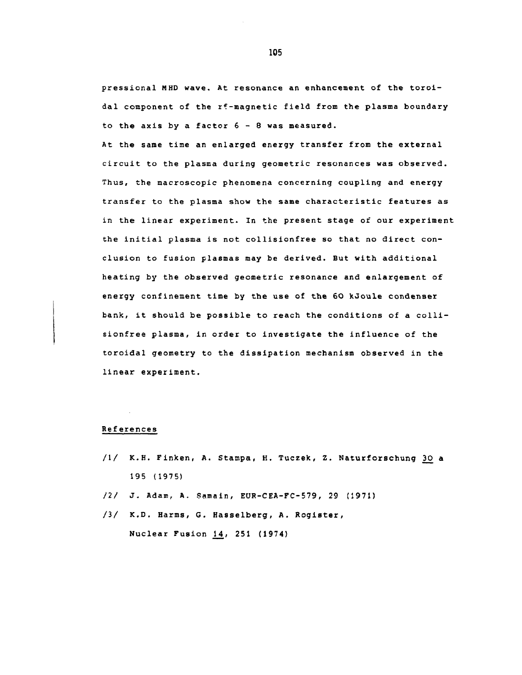pressional MHD wave. At resonance an enhancement of the toroidal component of the rf-magnetic field from the plasma boundary to the axis by a factor  $6 - 8$  was measured.

At the same time an enlarged energy transfer from the external circuit to the plasma during geometric resonances was observed. Thus, the macroscopic phenomena concerning coupling and energy transfer to the plasma show the same characteristic features as in the linear experiment. In the present stage of our experiment the initial plasma is not collisionfree so that no direct conclusion to fusion plasmas may be derived. But with additional heating by the observed geometric resonance and enlargement of energy confinement time by the use of the 60 kJoule condenser bank, it should be possible to reach the conditions of a colllsionfree plasma, in order to investigate the influence of the toroidal geometry to the dissipation mechanism observed in the linear experiment.

## References

- /1/ K.H. Finken, A. Stampa, H. Tuczek, Z. Naturforschung 30 a 195 (1975)
- *12/* J. Adam, A. Samain, EUR-CEA-FC-579, 29 (1971)
- /3/ K.D. Harms, G. Hasselberg, A. Register, Nuclear Fusion 14, 251 (1974)

105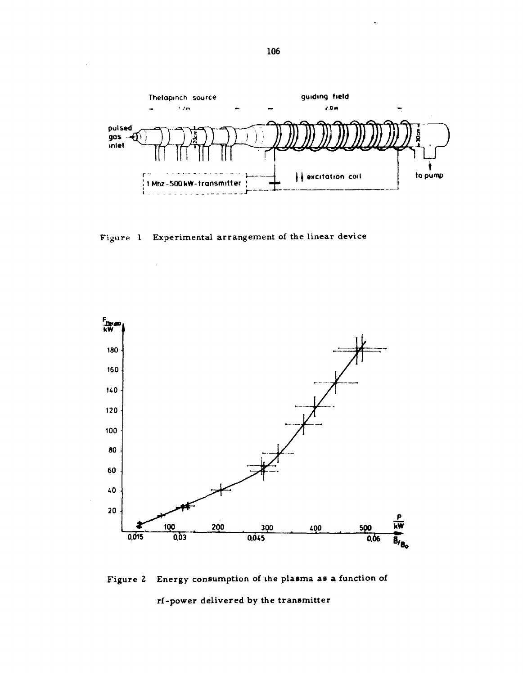

Figure 1 Experimental arrangement of the linear device



Figure 2 Energy consumption of the plasma as a function of rf-power delivered by the transmitter

106